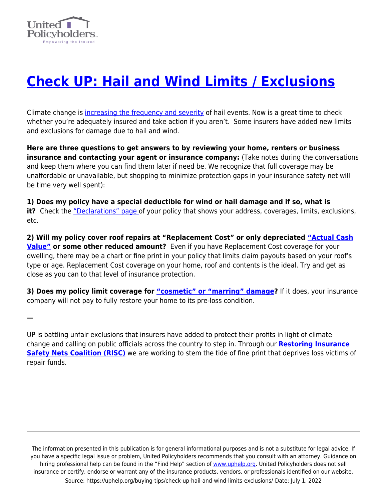

**—**

## **[Check UP: Hail and Wind Limits / Exclusions](https://uphelp.org/buying-tips/check-up-hail-and-wind-limits-exclusions/)**

Climate change is [increasing the frequency and severity](https://www.theatlantic.com/science/archive/2021/02/hail-its-americas-most-underrated-climate-risk/617979/) of hail events. Now is a great time to check whether you're adequately insured and take action if you aren't. Some insurers have added new limits and exclusions for damage due to hail and wind.

**Here are three questions to get answers to by reviewing your home, renters or business insurance and contacting your agent or insurance company:** (Take notes during the conversations and keep them where you can find them later if need be. We recognize that full coverage may be unaffordable or unavailable, but shopping to minimize protection gaps in your insurance safety net will be time very well spent):

**1) Does my policy have a special deductible for wind or hail damage and if so, what is it?** Check the ["Declarations" page o](https://uphelp.org/wp-content/uploads/2020/09/dec_page_guide.pdf)f your policy that shows your address, coverages, limits, exclusions, etc.

**2) Will my policy cover roof repairs at "Replacement Cost" or only depreciated ["Actual Cash](https://uphelp.org/claim-guidance-publications/depreciation-basics/) Value"** or some other reduced amount? Even if you have Replacement Cost coverage for your dwelling, there may be a chart or fine print in your policy that limits claim payouts based on your roof's type or age. Replacement Cost coverage on your home, roof and contents is the ideal. Try and get as close as you can to that level of insurance protection.

**3) Does my policy limit coverage for ["cosmetic" or "marring" damage](https://www.propertyinsurancecoveragelaw.com/2015/06/articles/insurance/cosmetic-damage-caused-by-hail-is-a-direct-physical-loss/)?** If it does, your insurance company will not pay to fully restore your home to its pre-loss condition.

UP is battling unfair exclusions that insurers have added to protect their profits in light of climate change and calling on public officials across the country to step in. Through our **[Restoring Insurance](http://www.uphelp.org/RISC) [Safety Nets Coalition \(RISC\)](http://www.uphelp.org/RISC)** we are working to stem the tide of fine print that deprives loss victims of repair funds.

The information presented in this publication is for general informational purposes and is not a substitute for legal advice. If you have a specific legal issue or problem, United Policyholders recommends that you consult with an attorney. Guidance on hiring professional help can be found in the "Find Help" section of [www.uphelp.org.](http://www.uphelp.org/) United Policyholders does not sell insurance or certify, endorse or warrant any of the insurance products, vendors, or professionals identified on our website. Source: https://uphelp.org/buying-tips/check-up-hail-and-wind-limits-exclusions/ Date: July 1, 2022